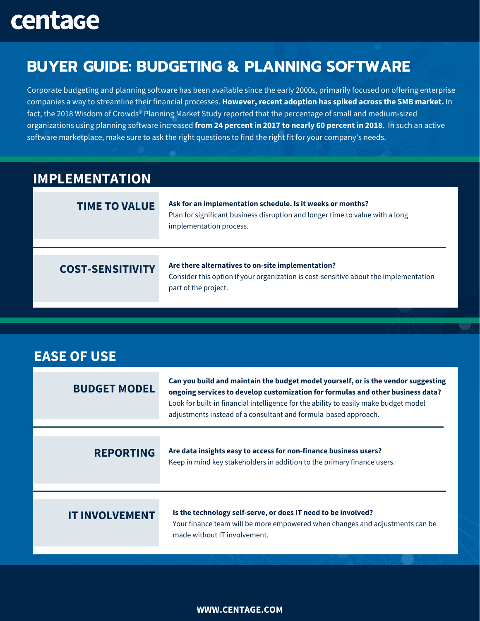# centage

# **BUYER GUIDE: BUDGETING & PLANNING SOFTWARE**

Corporate budgeting and planning software has been available since the early 2000s, primarily focused on offering enterprise companies a way to streamline their financial processes. **However, recent adoption has spiked across the SMB market.** In fact, the 2018 Wisdom of Crowds® Planning Market Study reported that the percentage of small and medium-sized organizations using planning software increased **from 24 percent in 2017 to nearly 60 percent in 2018**. In such an active software marketplace, make sure to ask the right questions to find the right fit for your company's needs.

## **IMPLEMENTATION**

| <b>TIME TO VALUE</b>    | Ask for an implementation schedule. Is it weeks or months?<br>Plan for significant business disruption and longer time to value with a long<br>implementation process. |
|-------------------------|------------------------------------------------------------------------------------------------------------------------------------------------------------------------|
| <b>COST-SENSITIVITY</b> | Are there alternatives to on-site implementation?<br>Consider this option if your organization is cost-sensitive about the implementation<br>part of the project.      |

# **EASE OF USE**

| <b>BUDGET MODEL</b>   | Can you build and maintain the budget model yourself, or is the vendor suggesting<br>ongoing services to develop customization for formulas and other business data?<br>Look for built-in financial intelligence for the ability to easily make budget model<br>adjustments instead of a consultant and formula-based approach. |
|-----------------------|---------------------------------------------------------------------------------------------------------------------------------------------------------------------------------------------------------------------------------------------------------------------------------------------------------------------------------|
| <b>REPORTING</b>      | Are data insights easy to access for non-finance business users?<br>Keep in mind key stakeholders in addition to the primary finance users.                                                                                                                                                                                     |
| <b>IT INVOLVEMENT</b> | Is the technology self-serve, or does IT need to be involved?<br>Your finance team will be more empowered when changes and adjustments can be<br>made without IT involvement.                                                                                                                                                   |

#### **[WWW.CENTAGE.COM](http://www.centage.com/)**